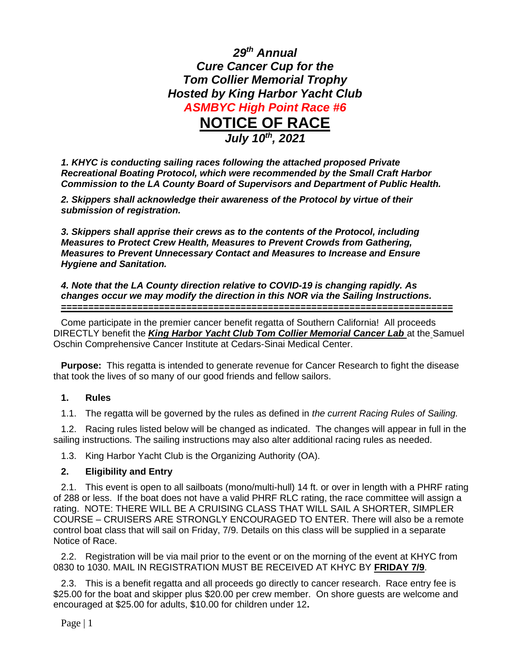

*1. KHYC is conducting sailing races following the attached proposed Private Recreational Boating Protocol, which were recommended by the Small Craft Harbor Commission to the LA County Board of Supervisors and Department of Public Health.*

*2. Skippers shall acknowledge their awareness of the Protocol by virtue of their submission of registration.*

*3. Skippers shall apprise their crews as to the contents of the Protocol, including Measures to Protect Crew Health, Measures to Prevent Crowds from Gathering, Measures to Prevent Unnecessary Contact and Measures to Increase and Ensure Hygiene and Sanitation.*

*4. Note that the LA County direction relative to COVID-19 is changing rapidly. As changes occur we may modify the direction in this NOR via the Sailing Instructions.* **========================================================================**

Come participate in the premier cancer benefit regatta of Southern California! All proceeds DIRECTLY benefit the *King Harbor Yacht Club Tom Collier Memorial Cancer Lab* at the Samuel Oschin Comprehensive Cancer Institute at Cedars-Sinai Medical Center.

**Purpose:** This regatta is intended to generate revenue for Cancer Research to fight the disease that took the lives of so many of our good friends and fellow sailors.

#### **1. Rules**

1.1. The regatta will be governed by the rules as defined in *the current Racing Rules of Sailing.*

1.2. Racing rules listed below will be changed as indicated. The changes will appear in full in the sailing instructions. The sailing instructions may also alter additional racing rules as needed.

1.3. King Harbor Yacht Club is the Organizing Authority (OA).

### **2. Eligibility and Entry**

2.1. This event is open to all sailboats (mono/multi-hull) 14 ft. or over in length with a PHRF rating of 288 or less. If the boat does not have a valid PHRF RLC rating, the race committee will assign a rating. NOTE: THERE WILL BE A CRUISING CLASS THAT WILL SAIL A SHORTER, SIMPLER COURSE – CRUISERS ARE STRONGLY ENCOURAGED TO ENTER. There will also be a remote control boat class that will sail on Friday, 7/9. Details on this class will be supplied in a separate Notice of Race.

2.2. Registration will be via mail prior to the event or on the morning of the event at KHYC from 0830 to 1030. MAIL IN REGISTRATION MUST BE RECEIVED AT KHYC BY **FRIDAY 7/9**.

2.3. This is a benefit regatta and all proceeds go directly to cancer research. Race entry fee is \$25.00 for the boat and skipper plus \$20.00 per crew member. On shore guests are welcome and encouraged at \$25.00 for adults, \$10.00 for children under 12**.** 

Page | 1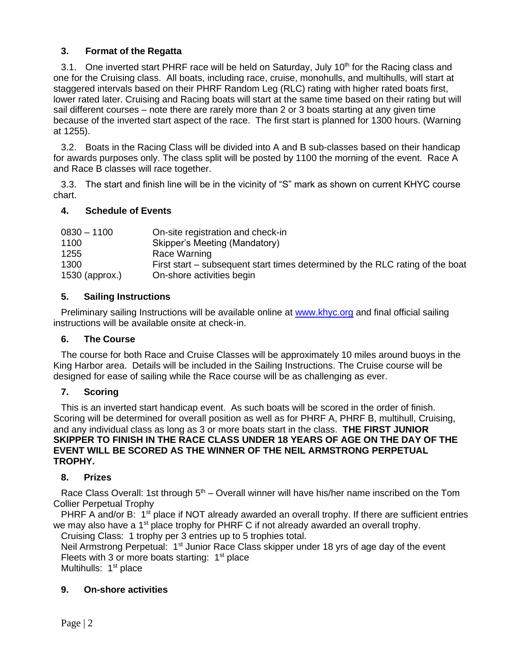## **3. Format of the Regatta**

3.1. One inverted start PHRF race will be held on Saturday, July 10<sup>th</sup> for the Racing class and one for the Cruising class. All boats, including race, cruise, monohulls, and multihulls, will start at staggered intervals based on their PHRF Random Leg (RLC) rating with higher rated boats first, lower rated later. Cruising and Racing boats will start at the same time based on their rating but will sail different courses – note there are rarely more than 2 or 3 boats starting at any given time because of the inverted start aspect of the race. The first start is planned for 1300 hours. (Warning at 1255).

3.2. Boats in the Racing Class will be divided into A and B sub-classes based on their handicap for awards purposes only. The class split will be posted by 1100 the morning of the event. Race A and Race B classes will race together.

3.3. The start and finish line will be in the vicinity of "S" mark as shown on current KHYC course chart.

### **4. Schedule of Events**

| $0830 - 1100$    | On-site registration and check-in                                             |
|------------------|-------------------------------------------------------------------------------|
| 1100             | Skipper's Meeting (Mandatory)                                                 |
| 1255             | Race Warning                                                                  |
| 1300             | First start – subsequent start times determined by the RLC rating of the boat |
| $1530$ (approx.) | On-shore activities begin                                                     |

### **5. Sailing Instructions**

Preliminary sailing Instructions will be available online at [www.khyc.org](http://www.khyc.org/) and final official sailing instructions will be available onsite at check-in.

### **6. The Course**

The course for both Race and Cruise Classes will be approximately 10 miles around buoys in the King Harbor area. Details will be included in the Sailing Instructions. The Cruise course will be designed for ease of sailing while the Race course will be as challenging as ever.

### **7. Scoring**

This is an inverted start handicap event. As such boats will be scored in the order of finish. Scoring will be determined for overall position as well as for PHRF A, PHRF B, multihull, Cruising, and any individual class as long as 3 or more boats start in the class. **THE FIRST JUNIOR SKIPPER TO FINISH IN THE RACE CLASS UNDER 18 YEARS OF AGE ON THE DAY OF THE EVENT WILL BE SCORED AS THE WINNER OF THE NEIL ARMSTRONG PERPETUAL TROPHY.**

### **8. Prizes**

Race Class Overall: 1st through 5<sup>th</sup> – Overall winner will have his/her name inscribed on the Tom Collier Perpetual Trophy

PHRF A and/or B: 1<sup>st</sup> place if NOT already awarded an overall trophy. If there are sufficient entries we may also have a 1<sup>st</sup> place trophy for PHRF C if not already awarded an overall trophy. Cruising Class: 1 trophy per 3 entries up to 5 trophies total.

Neil Armstrong Perpetual:  $1<sup>st</sup>$  Junior Race Class skipper under 18 yrs of age day of the event Fleets with 3 or more boats starting:  $1<sup>st</sup>$  place

Multihulls: 1<sup>st</sup> place

### **9. On-shore activities**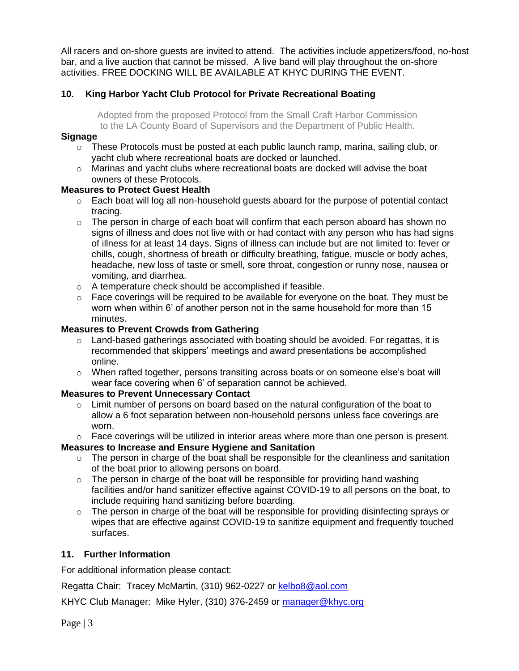All racers and on-shore guests are invited to attend. The activities include appetizers/food, no-host bar, and a live auction that cannot be missed. A live band will play throughout the on-shore activities. FREE DOCKING WILL BE AVAILABLE AT KHYC DURING THE EVENT.

### **10. King Harbor Yacht Club Protocol for Private Recreational Boating**

Adopted from the proposed Protocol from the Small Craft Harbor Commission to the LA County Board of Supervisors and the Department of Public Health.

#### **Signage**

- $\circ$  These Protocols must be posted at each public launch ramp, marina, sailing club, or yacht club where recreational boats are docked or launched.
- $\circ$  Marinas and vacht clubs where recreational boats are docked will advise the boat owners of these Protocols.

### **Measures to Protect Guest Health**

- $\circ$  Each boat will log all non-household guests aboard for the purpose of potential contact tracing.
- $\circ$  The person in charge of each boat will confirm that each person aboard has shown no signs of illness and does not live with or had contact with any person who has had signs of illness for at least 14 days. Signs of illness can include but are not limited to: fever or chills, cough, shortness of breath or difficulty breathing, fatigue, muscle or body aches, headache, new loss of taste or smell, sore throat, congestion or runny nose, nausea or vomiting, and diarrhea.
- o A temperature check should be accomplished if feasible.
- $\circ$  Face coverings will be required to be available for everyone on the boat. They must be worn when within 6' of another person not in the same household for more than 15 minutes.

### **Measures to Prevent Crowds from Gathering**

- $\circ$  Land-based gatherings associated with boating should be avoided. For regattas, it is recommended that skippers' meetings and award presentations be accomplished online.
- $\circ$  When rafted together, persons transiting across boats or on someone else's boat will wear face covering when 6' of separation cannot be achieved.

### **Measures to Prevent Unnecessary Contact**

- $\circ$  Limit number of persons on board based on the natural configuration of the boat to allow a 6 foot separation between non-household persons unless face coverings are worn.
- $\circ$  Face coverings will be utilized in interior areas where more than one person is present.

### **Measures to Increase and Ensure Hygiene and Sanitation**

- $\circ$  The person in charge of the boat shall be responsible for the cleanliness and sanitation of the boat prior to allowing persons on board.
- $\circ$  The person in charge of the boat will be responsible for providing hand washing facilities and/or hand sanitizer effective against COVID-19 to all persons on the boat, to include requiring hand sanitizing before boarding.
- $\circ$  The person in charge of the boat will be responsible for providing disinfecting sprays or wipes that are effective against COVID-19 to sanitize equipment and frequently touched surfaces.

### **11. Further Information**

For additional information please contact:

Regatta Chair: Tracey McMartin, (310) 962-0227 or [kelbo8@aol.com](mailto:kelbo8@aol.com)

KHYC Club Manager: Mike Hyler, (310) 376-2459 or [manager@khyc.org](mailto:manager@khyc.org)

Page | 3